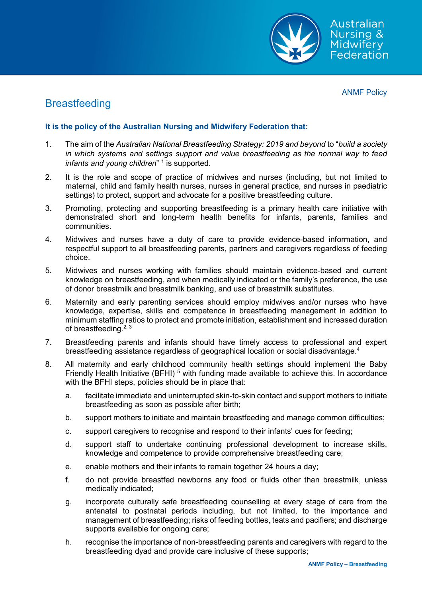

ANMF Policy

# **Breastfeeding**

## **It is the policy of the Australian Nursing and Midwifery Federation that:**

- 1. The aim of the *Australian National Breastfeeding Strategy: 2019 and beyond* to "*build a society in which systems and settings support and value breastfeeding as the normal way to feed infants and young children*"<sup>1</sup> is supported.
- 2. It is the role and scope of practice of midwives and nurses (including, but not limited to maternal, child and family health nurses, nurses in general practice, and nurses in paediatric settings) to protect, support and advocate for a positive breastfeeding culture.
- 3. Promoting, protecting and supporting breastfeeding is a primary health care initiative with demonstrated short and long-term health benefits for infants, parents, families and communities.
- 4. Midwives and nurses have a duty of care to provide evidence-based information, and respectful support to all breastfeeding parents, partners and caregivers regardless of feeding choice.
- 5. Midwives and nurses working with families should maintain evidence-based and current knowledge on breastfeeding, and when medically indicated or the family's preference, the use of donor breastmilk and breastmilk banking, and use of breastmilk substitutes.
- 6. Maternity and early parenting services should employ midwives and/or nurses who have knowledge, expertise, skills and competence in breastfeeding management in addition to minimum staffing ratios to protect and promote initiation, establishment and increased duration of breastfeeding.<sup>2, 3</sup>
- 7. Breastfeeding parents and infants should have timely access to professional and expert breastfeeding assistance regardless of geographical location or social disadvantage.4
- 8. All maternity and early childhood community health settings should implement the Baby Friendly Health Initiative (BFHI)<sup>5</sup> with funding made available to achieve this. In accordance with the BFHI steps, policies should be in place that:
	- a. facilitate immediate and uninterrupted skin-to-skin contact and support mothers to initiate breastfeeding as soon as possible after birth;
	- b. support mothers to initiate and maintain breastfeeding and manage common difficulties;
	- c. support caregivers to recognise and respond to their infants' cues for feeding;
	- d. support staff to undertake continuing professional development to increase skills, knowledge and competence to provide comprehensive breastfeeding care;
	- e. enable mothers and their infants to remain together 24 hours a day;
	- f. do not provide breastfed newborns any food or fluids other than breastmilk, unless medically indicated;
	- g. incorporate culturally safe breastfeeding counselling at every stage of care from the antenatal to postnatal periods including, but not limited, to the importance and management of breastfeeding; risks of feeding bottles, teats and pacifiers; and discharge supports available for ongoing care;
	- h. recognise the importance of non-breastfeeding parents and caregivers with regard to the breastfeeding dyad and provide care inclusive of these supports;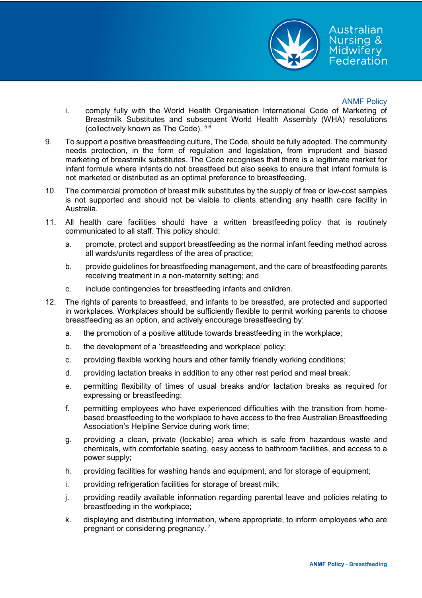

### ANMF Policy

Australian Nursing & Midwifery Federation

- i. comply fully with the World Health Organisation International Code of Marketing of Breastmilk Substitutes and subsequent World Health Assembly (WHA) resolutions (collectively known as The Code). <sup>56</sup>
- 9. To support a positive breastfeeding culture, The Code, should be fully adopted. The community needs protection, in the form of regulation and legislation, from imprudent and biased marketing of breastmilk substitutes. The Code recognises that there is a legitimate market for infant formula where infants do not breastfeed but also seeks to ensure that infant formula is not marketed or distributed as an optimal preference to breastfeeding.
- 10. The commercial promotion of breast milk substitutes by the supply of free or low-cost samples is not supported and should not be visible to clients attending any health care facility in Australia.
- 11. All health care facilities should have a written breastfeeding policy that is routinely communicated to all staff. This policy should:
	- a. promote, protect and support breastfeeding as the normal infant feeding method across all wards/units regardless of the area of practice;
	- b. provide guidelines for breastfeeding management, and the care of breastfeeding parents receiving treatment in a non-maternity setting; and
	- c. include contingencies for breastfeeding infants and children.
- 12. The rights of parents to breastfeed, and infants to be breastfed, are protected and supported in workplaces. Workplaces should be sufficiently flexible to permit working parents to choose breastfeeding as an option, and actively encourage breastfeeding by:
	- a. the promotion of a positive attitude towards breastfeeding in the workplace;
	- b. the development of a 'breastfeeding and workplace' policy;
	- c. providing flexible working hours and other family friendly working conditions;
	- d. providing lactation breaks in addition to any other rest period and meal break;
	- e. permitting flexibility of times of usual breaks and/or lactation breaks as required for expressing or breastfeeding;
	- f. permitting employees who have experienced difficulties with the transition from homebased breastfeeding to the workplace to have access to the free Australian Breastfeeding Association's Helpline Service during work time;
	- g. providing a clean, private (lockable) area which is safe from hazardous waste and chemicals, with comfortable seating, easy access to bathroom facilities, and access to a power supply;
	- h. providing facilities for washing hands and equipment, and for storage of equipment;
	- i. providing refrigeration facilities for storage of breast milk;
	- j. providing readily available information regarding parental leave and policies relating to breastfeeding in the workplace;
	- k. displaying and distributing information, where appropriate, to inform employees who are pregnant or considering pregnancy. <sup>7</sup>